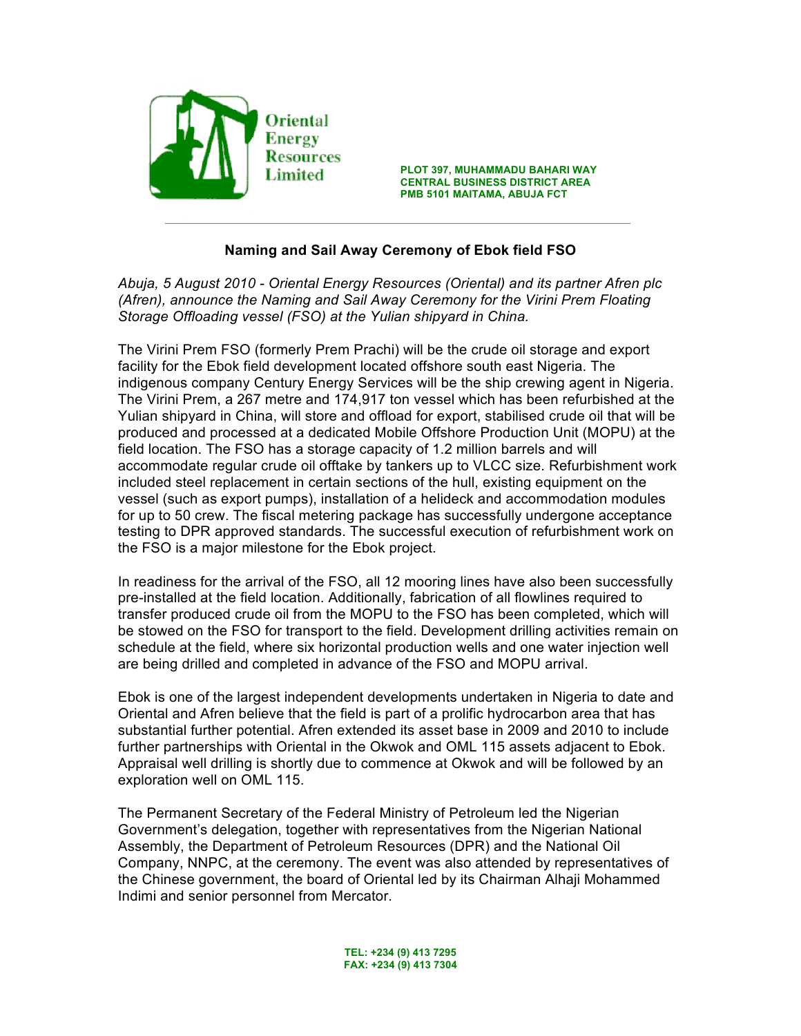

**PLOT 397, MUHAMMADU BAHARI WAY Example 1 CENTRAL BUSINESS DISTRICT AREA**<br>CENTRAL BUSINESS DISTRICT AREA **PMB 5101 MAITAMA, ABUJA FCT**

# **Naming and Sail Away Ceremony of Ebok field FSO**

*Abuja, 5 August 2010 - Oriental Energy Resources (Oriental) and its partner Afren plc (Afren), announce the Naming and Sail Away Ceremony for the Virini Prem Floating Storage Offloading vessel (FSO) at the Yulian shipyard in China.*

The Virini Prem FSO (formerly Prem Prachi) will be the crude oil storage and export facility for the Ebok field development located offshore south east Nigeria. The indigenous company Century Energy Services will be the ship crewing agent in Nigeria. The Virini Prem, a 267 metre and 174,917 ton vessel which has been refurbished at the Yulian shipyard in China, will store and offload for export, stabilised crude oil that will be produced and processed at a dedicated Mobile Offshore Production Unit (MOPU) at the field location. The FSO has a storage capacity of 1.2 million barrels and will accommodate regular crude oil offtake by tankers up to VLCC size. Refurbishment work included steel replacement in certain sections of the hull, existing equipment on the vessel (such as export pumps), installation of a helideck and accommodation modules for up to 50 crew. The fiscal metering package has successfully undergone acceptance testing to DPR approved standards. The successful execution of refurbishment work on the FSO is a major milestone for the Ebok project.

In readiness for the arrival of the FSO, all 12 mooring lines have also been successfully pre-installed at the field location. Additionally, fabrication of all flowlines required to transfer produced crude oil from the MOPU to the FSO has been completed, which will be stowed on the FSO for transport to the field. Development drilling activities remain on schedule at the field, where six horizontal production wells and one water injection well are being drilled and completed in advance of the FSO and MOPU arrival.

Ebok is one of the largest independent developments undertaken in Nigeria to date and Oriental and Afren believe that the field is part of a prolific hydrocarbon area that has substantial further potential. Afren extended its asset base in 2009 and 2010 to include further partnerships with Oriental in the Okwok and OML 115 assets adjacent to Ebok. Appraisal well drilling is shortly due to commence at Okwok and will be followed by an exploration well on OML 115.

The Permanent Secretary of the Federal Ministry of Petroleum led the Nigerian Government's delegation, together with representatives from the Nigerian National Assembly, the Department of Petroleum Resources (DPR) and the National Oil Company, NNPC, at the ceremony. The event was also attended by representatives of the Chinese government, the board of Oriental led by its Chairman Alhaji Mohammed Indimi and senior personnel from Mercator.